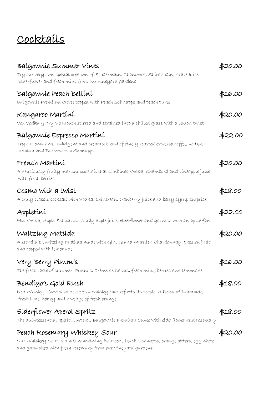# Cocktails

| Balgownie Summer Vines<br>Try our very own specíal creation of St Germain, Chambord, Shiraz Gin, grape Juice<br>Elderflower and fresh mint from our vineyard gardens                  | \$20.00 |
|---------------------------------------------------------------------------------------------------------------------------------------------------------------------------------------|---------|
| Balgownie Peach Bellini<br>Balgownie Premium Cuvee topped with Peach Schnapps and peach puree                                                                                         | \$16.00 |
| Kangaroo Martíní<br>Vox Vodka g Dry Vermouth stirred and strained into a chilled glass with a lemon twist                                                                             | \$20.00 |
| Balgownie Espresso Martini<br>Try our own rich, indulgent and creamy blend of finely roasted espresso coffee, vodka,<br>Kahlua and Butterscotch Schnapps                              | \$22.00 |
| French Martíní<br>A delícíously fruíty martíní cocktaíl that combínes Vodka, Chambord and píneapple juíce<br>with fresh berries                                                       | \$20.00 |
| Cosmo with a twist<br>A truly classíc cocktaíl wíth Vodka, Coíntreau, cranberry juíce and berry syrup surpríse                                                                        | \$18.00 |
| Appletíní<br>Míx Vodka, Apple Schnapps, cloudy apple juíce, elderflower and garnísh with an apple fan                                                                                 | \$22.00 |
| Waltzing Matilda<br>Australía's Waltzíng matílda made wíth Gín, Grand Marníer, Chardonnay, passíonfruít<br>and topped with lemonade                                                   | \$20.00 |
| Very Berry Pimm's<br>The fresh taste of summer. Pimm's, Crème de Cassis, fresh mint, berries and lemonade                                                                             | \$16.00 |
| Bendígo's Gold Rush<br>Ned Whisky-Australia deserves a whisky that reflects its people. A blend of Drambuie,<br>fresh lime, honey and a wedge of fresh orange                         | \$18.00 |
| Elderflower Aperol Spritz<br>The quintessential aperitif. Aperol, Balgownie Premium Cuvee with elderflower and rosemary                                                               | \$18.00 |
| Peach Rosemary Whiskey Sour<br>Our Whiskey Sour is a mix containing Bourbon, Peach Schnapps, orange bitters, egg white<br>and garnished with fresh rosemary from our vineyard gardens | \$20.00 |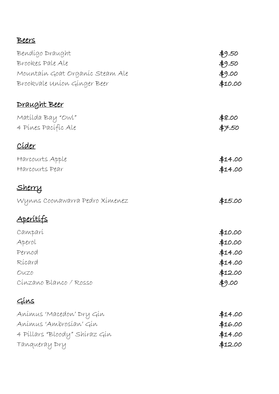### Beers

| Bendígo Draught                 | \$9.50  |
|---------------------------------|---------|
| Brookes Pale Ale                | \$9.50  |
| Mountaín Goat Organíc Steam Ale | \$9.00  |
| Brookvale Union Ginger Beer     | \$10.00 |
| <u>Draught Beer</u>             |         |
| Matílda Bay "Owl"               | \$8.00  |
| 4 Pines Pacific Ale             | \$7.50  |
| <u>Cíder</u>                    |         |
| Harcourts Apple                 | \$14.00 |
| Harcourts Pear                  | \$14.00 |
| <u>Sherry</u>                   |         |
| Wynns Coonawarra Pedro Xímenez  | \$15.00 |
| <u>Aperítífs</u>                |         |
| Camparí                         | \$10.00 |
| Aperol                          | \$10.00 |
| Pernod                          | \$14.00 |
| Rícard                          | \$14.00 |
| OUZO                            | \$12.00 |
| Cínzano Blanco / Rosso          | \$9.00  |
| <u>Gins</u>                     |         |
| Anímus 'Macedon' Dry Gín        | \$14.00 |
| Anímus 'Ambrosían' Gín          | \$16.00 |
| 4 Píllars "Bloody" Shíraz Gín   | \$14.00 |
| Tanqueray Dry                   | \$12.00 |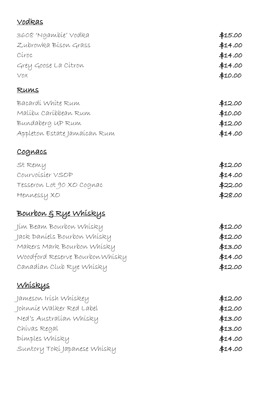## Vodkas

| 3608 'Ngambie' Vodka             | \$15.00 |
|----------------------------------|---------|
| Zubrowka Bíson Grass             | \$14.00 |
| Círoc                            | \$14.00 |
| Grey Goose La Citron             | \$14.00 |
| VOX                              | \$10.00 |
| <u>Rums</u>                      |         |
| Bacardí White Rum                | \$12.00 |
| Malíbu Caríbbean Rum             | \$10.00 |
| Bundaberg UP Rum                 | \$12.00 |
| Appleton Estate Jamaícan Rum     | \$14.00 |
| <u>Cognacs</u>                   |         |
| St Remy                          | \$12.00 |
| Courvoisier VSOP                 | \$14.00 |
| Tesseron Lot 90 XO Cognac        | \$22.00 |
| Hennessy XO                      | \$28.00 |
| <u>Bourbon &amp; Rye Whiskys</u> |         |
| Jím Beam Bourbon Whísky          | \$12.00 |
| Jack Daníels Bourbon Whísky      | \$12.00 |
| Makers Mark Bourbon Whisky       | \$13.00 |
| Woodford Reserve Bourbon Whisky  | \$14.00 |
| Canadían Club Rye Whisky         | \$12.00 |
| <u>Whiskys</u>                   |         |
| Jameson Irísh Whískeµ            | \$12.00 |
| Johnnie Walker Red Label         | \$12.00 |
| Ned's Australían Whísky          | \$13.00 |
| Chívas Regal                     | \$13.00 |
| Dimples Whisky                   | \$14.00 |
| Suntory Tokí Japanese Whísky     | \$14.00 |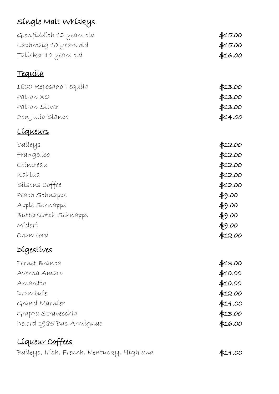# Single Malt Whiskys

| Glenfiddích 12 years old                   | \$15.00 |
|--------------------------------------------|---------|
| Laphroaíg 10 years old                     | \$15.00 |
| Talísker 10 years old                      | \$16.00 |
| <u>Tequila</u>                             |         |
| 1800 Reposado Tequíla                      | \$13.00 |
| Patron XO                                  | \$13.00 |
| Patron Silver                              | \$13.00 |
| Don Julio Blanco                           | \$14.00 |
| Líqueurs                                   |         |
| Baileys                                    | \$12.00 |
| Frangelico                                 | \$12.00 |
| Cointreau                                  | \$12.00 |
| Kahlua                                     | \$12.00 |
| Bilsons Coffee                             | \$12.00 |
| Peach Schnapps                             | \$9.00  |
| Apple Schnapps                             | 49.00   |
| Butterscotch Schnapps                      | 49.00   |
| Mídorí                                     | $*9.00$ |
| Chambord                                   | \$12.00 |
| Digestives                                 |         |
| Fernet Branca                              | \$13.00 |
| Averna Amaro                               | \$10.00 |
| Amaretto                                   | \$10.00 |
| Drambuíe                                   | \$12.00 |
| Grand Marnier                              | \$14.00 |
| Grappa Stravecchía                         | \$13.00 |
| Delord 1985 Bas Armígnac                   | \$16.00 |
| <u> Líqueur Coffees</u>                    |         |
| Baíleys, Irísh, French, Kentucky, Híghland | \$14.00 |